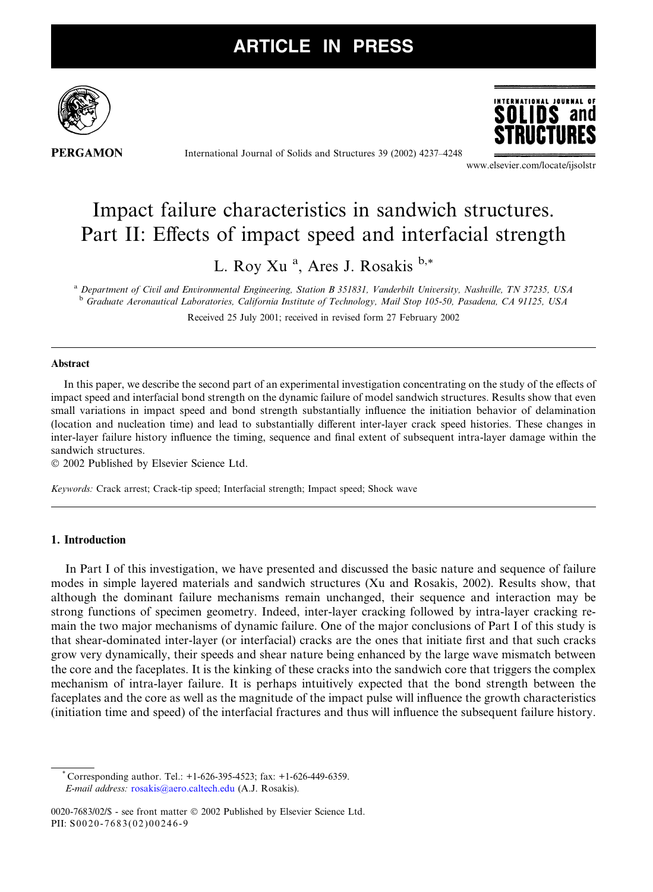

**PERGAMON** 

International Journal of Solids and Structures 39 (2002) 4237–4248



www.elsevier.com/locate/ijsolstr

# Impact failure characteristics in sandwich structures. Part II: Effects of impact speed and interfacial strength

L. Roy Xu<sup>a</sup>, Ares J. Rosakis b,\*

<sup>a</sup> Department of Civil and Environmental Engineering, Station B 351831, Vanderbilt University, Nashville, TN 37235, USA <sup>b</sup> Graduate Aeronautical Laboratories, California Institute of Technology, Mail Stop 105-50, Pasadena, CA 91125, USA Received 25 July 2001; received in revised form 27 February 2002

### Abstract

In this paper, we describe the second part of an experimental investigation concentrating on the study of the effects of impact speed and interfacial bond strength on the dynamic failure of model sandwich structures. Results show that even small variations in impact speed and bond strength substantially influence the initiation behavior of delamination (location and nucleation time) and lead to substantially different inter-layer crack speed histories. These changes in inter-layer failure history influence the timing, sequence and final extent of subsequent intra-layer damage within the sandwich structures.

2002 Published by Elsevier Science Ltd.

Keywords: Crack arrest; Crack-tip speed; Interfacial strength; Impact speed; Shock wave

### 1. Introduction

In Part I of this investigation, we have presented and discussed the basic nature and sequence of failure modes in simple layered materials and sandwich structures (Xu and Rosakis, 2002). Results show, that although the dominant failure mechanisms remain unchanged, their sequence and interaction may be strong functions of specimen geometry. Indeed, inter-layer cracking followed by intra-layer cracking remain the two major mechanisms of dynamic failure. One of the major conclusions of Part I of this study is that shear-dominated inter-layer (or interfacial) cracks are the ones that initiate first and that such cracks grow very dynamically, their speeds and shear nature being enhanced by the large wave mismatch between the core and the faceplates. It is the kinking of these cracks into the sandwich core that triggers the complex mechanism of intra-layer failure. It is perhaps intuitively expected that the bond strength between the faceplates and the core as well as the magnitude of the impact pulse will influence the growth characteristics (initiation time and speed) of the interfacial fractures and thus will influence the subsequent failure history.

\* Corresponding author. Tel.: +1-626-395-4523; fax: +1-626-449-6359. E-mail address: [rosakis@aero.caltech.edu](mail to: rosakis@aero.caltech.edu) (A.J. Rosakis).

0020-7683/02/\$ - see front matter © 2002 Published by Elsevier Science Ltd. PII: S0020-7683(02)00246-9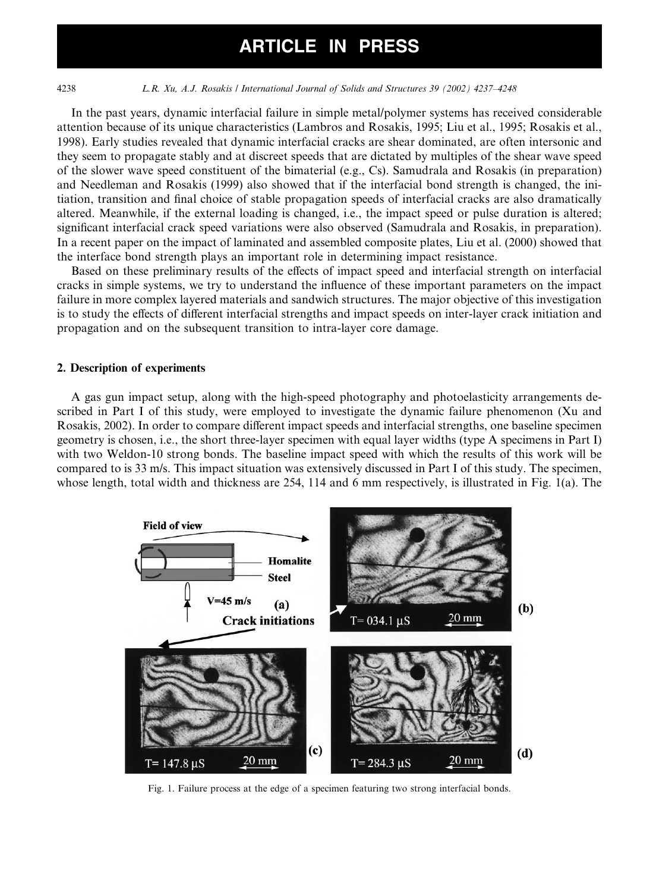4238 L.R. Xu, A.J. Rosakis / International Journal of Solids and Structures 39 (2002) 4237–4248

In the past years, dynamic interfacial failure in simple metal/polymer systems has received considerable attention because of its unique characteristics (Lambros and Rosakis, 1995; Liu et al., 1995; Rosakis et al., 1998). Early studies revealed that dynamic interfacial cracks are shear dominated, are often intersonic and they seem to propagate stably and at discreet speeds that are dictated by multiples of the shear wave speed of the slower wave speed constituent of the bimaterial (e.g., Cs). Samudrala and Rosakis (in preparation) and Needleman and Rosakis (1999) also showed that if the interfacial bond strength is changed, the initiation, transition and final choice of stable propagation speeds of interfacial cracks are also dramatically altered. Meanwhile, if the external loading is changed, i.e., the impact speed or pulse duration is altered; significant interfacial crack speed variations were also observed (Samudrala and Rosakis, in preparation). In a recent paper on the impact of laminated and assembled composite plates, Liu et al. (2000) showed that the interface bond strength plays an important role in determining impact resistance.

Based on these preliminary results of the effects of impact speed and interfacial strength on interfacial cracks in simple systems, we try to understand the influence of these important parameters on the impact failure in more complex layered materials and sandwich structures. The major objective of this investigation is to study the effects of different interfacial strengths and impact speeds on inter-layer crack initiation and propagation and on the subsequent transition to intra-layer core damage.

### 2. Description of experiments

A gas gun impact setup, along with the high-speed photography and photoelasticity arrangements described in Part I of this study, were employed to investigate the dynamic failure phenomenon (Xu and Rosakis, 2002). In order to compare different impact speeds and interfacial strengths, one baseline specimen geometry is chosen, i.e., the short three-layer specimen with equal layer widths (type A specimens in Part I) with two Weldon-10 strong bonds. The baseline impact speed with which the results of this work will be compared to is 33 m/s. This impact situation was extensively discussed in Part I of this study. The specimen, whose length, total width and thickness are 254, 114 and 6 mm respectively, is illustrated in Fig. 1(a). The



Fig. 1. Failure process at the edge of a specimen featuring two strong interfacial bonds.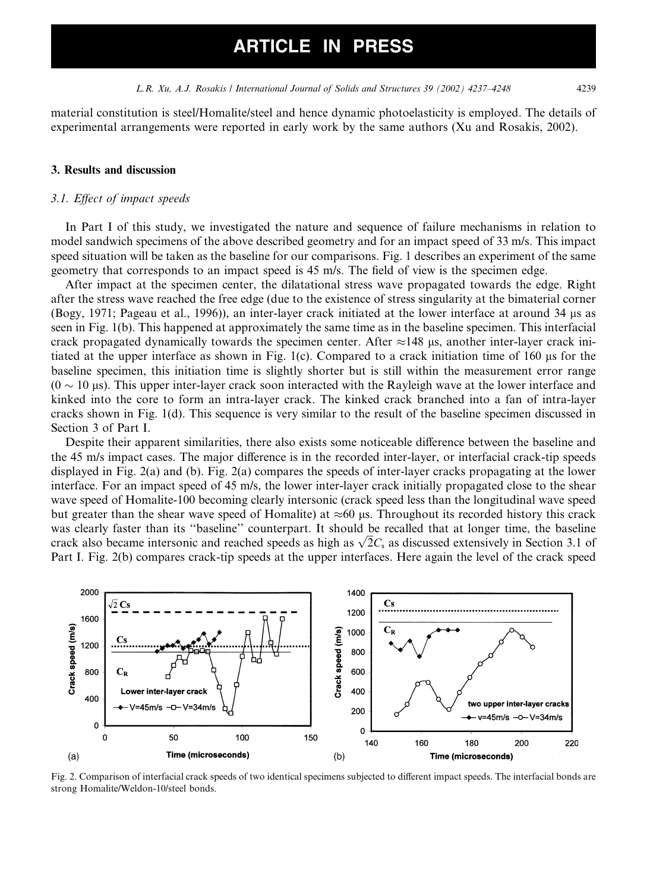material constitution is steel/Homalite/steel and hence dynamic photoelasticity is employed. The details of experimental arrangements were reported in early work by the same authors (Xu and Rosakis, 2002).

### 3. Results and discussion

### 3.1. Effect of impact speeds

In Part I of this study, we investigated the nature and sequence of failure mechanisms in relation to model sandwich specimens of the above described geometry and for an impact speed of 33 m/s. This impact speed situation will be taken as the baseline for our comparisons. Fig. 1 describes an experiment of the same geometry that corresponds to an impact speed is 45 m/s. The field of view is the specimen edge.

After impact at the specimen center, the dilatational stress wave propagated towards the edge. Right after the stress wave reached the free edge (due to the existence of stress singularity at the bimaterial corner (Bogy, 1971; Pageau et al., 1996)), an inter-layer crackinitiated at the lower interface at around 34 ls as seen in Fig. 1(b). This happened at approximately the same time as in the baseline specimen. This interfacial crack propagated dynamically towards the specimen center. After  $\approx$ 148 µs, another inter-layer crack initiated at the upper interface as shown in Fig. 1(c). Compared to a crack initiation time of 160  $\mu$ s for the baseline specimen, this initiation time is slightly shorter but is still within the measurement error range  $(0 \sim 10 \,\mu s)$ . This upper inter-layer crack soon interacted with the Rayleigh wave at the lower interface and kinked into the core to form an intra-layer crack. The kinked crack branched into a fan of intra-layer cracks shown in Fig. 1(d). This sequence is very similar to the result of the baseline specimen discussed in Section 3 of Part I.

Despite their apparent similarities, there also exists some noticeable difference between the baseline and the 45 m/s impact cases. The major difference is in the recorded inter-layer, or interfacial crack-tip speeds displayed in Fig. 2(a) and (b). Fig. 2(a) compares the speeds of inter-layer cracks propagating at the lower interface. For an impact speed of 45 m/s, the lower inter-layer crack initially propagated close to the shear wave speed of Homalite-100 becoming clearly intersonic (crack speed less than the longitudinal wave speed but greater than the shear wave speed of Homalite) at  $\approx 60$  µs. Throughout its recorded history this crack was clearly faster than its ''baseline'' counterpart. It should be recalled that at longer time, the baseline was clearly laster than its baseline counterpart. It should be recalled that at longer time, the baseline crack also became intersonic and reached speeds as high as  $\sqrt{2}C_s$  as discussed extensively in Section 3.1 of Part I. Fig. 2(b) compares crack-tip speeds at the upper interfaces. Here again the level of the crack speed



Fig. 2. Comparison of interfacial crack speeds of two identical specimens subjected to different impact speeds. The interfacial bonds are strong Homalite/Weldon-10/steel bonds.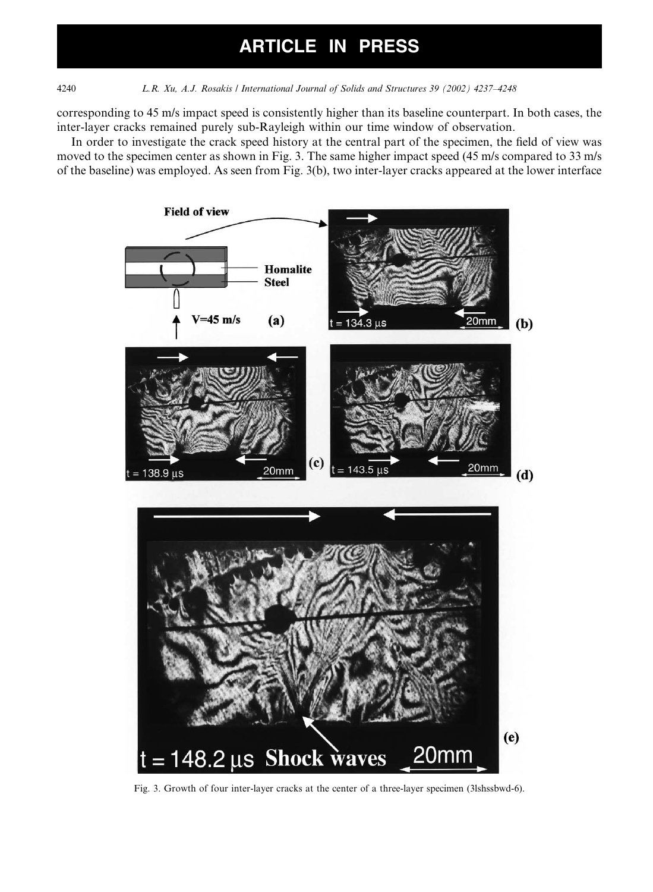4240 L.R. Xu, A.J. Rosakis / International Journal of Solids and Structures 39 (2002) 4237–4248

corresponding to 45 m/s impact speed is consistently higher than its baseline counterpart. In both cases, the inter-layer cracks remained purely sub-Rayleigh within our time window of observation.

In order to investigate the crack speed history at the central part of the specimen, the field of view was moved to the specimen center as shown in Fig. 3. The same higher impact speed (45 m/s compared to 33 m/s of the baseline) was employed. As seen from Fig. 3(b), two inter-layer cracks appeared at the lower interface



Fig. 3. Growth of four inter-layer cracks at the center of a three-layer specimen (3lshssbwd-6).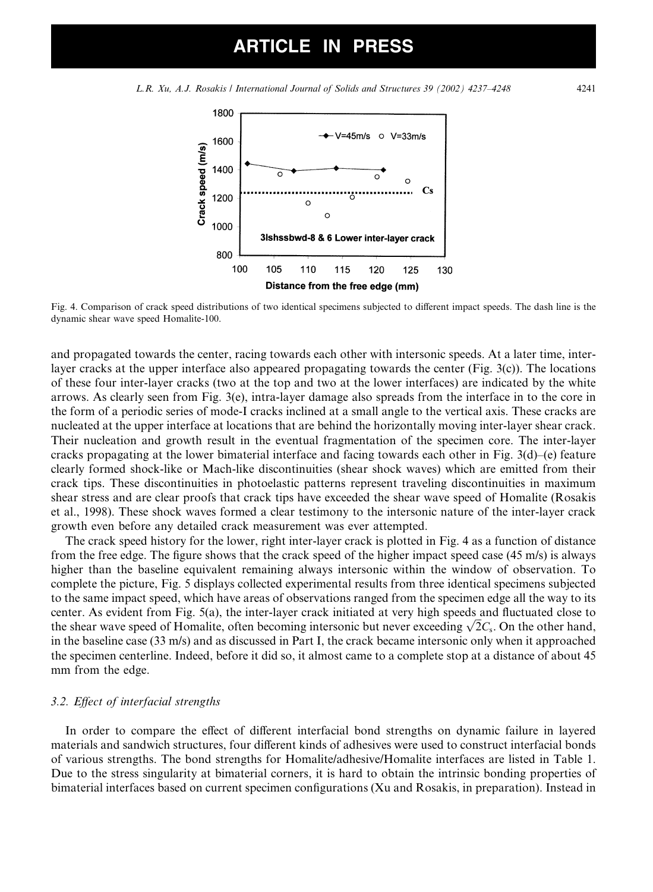L.R. Xu, A.J. Rosakis / International Journal of Solids and Structures 39 (2002) 4237–4248 4241



Fig. 4. Comparison of crack speed distributions of two identical specimens subjected to different impact speeds. The dash line is the dynamic shear wave speed Homalite-100.

and propagated towards the center, racing towards each other with intersonic speeds. At a later time, interlayer cracks at the upper interface also appeared propagating towards the center (Fig. 3(c)). The locations of these four inter-layer cracks (two at the top and two at the lower interfaces) are indicated by the white arrows. As clearly seen from Fig. 3(e), intra-layer damage also spreads from the interface in to the core in the form of a periodic series of mode-I cracks inclined at a small angle to the vertical axis. These cracks are nucleated at the upper interface at locations that are behind the horizontally moving inter-layer shear crack. Their nucleation and growth result in the eventual fragmentation of the specimen core. The inter-layer cracks propagating at the lower bimaterial interface and facing towards each other in Fig. 3(d)–(e) feature clearly formed shock-like or Mach-like discontinuities (shear shock waves) which are emitted from their crack tips. These discontinuities in photoelastic patterns represent traveling discontinuities in maximum shear stress and are clear proofs that crack tips have exceeded the shear wave speed of Homalite (Rosakis et al., 1998). These shockwaves formed a clear testimony to the intersonic nature of the inter-layer crack growth even before any detailed crack measurement was ever attempted.

The crack speed history for the lower, right inter-layer crack is plotted in Fig. 4 as a function of distance from the free edge. The figure shows that the crack speed of the higher impact speed case (45 m/s) is always higher than the baseline equivalent remaining always intersonic within the window of observation. To complete the picture, Fig. 5 displays collected experimental results from three identical specimens subjected to the same impact speed, which have areas of observations ranged from the specimen edge all the way to its center. As evident from Fig. 5(a), the inter-layer crack initiated at very high speeds and fluctuated close to center. As evident from Fig. 5(a), the inter-layer crack initiated at very high speeds and fluctuated close to<br>the shear wave speed of Homalite, often becoming intersonic but never exceeding  $\sqrt{2}C_s$ . On the other hand, in the baseline case  $(33 \text{ m/s})$  and as discussed in Part I, the crack became intersonic only when it approached the specimen centerline. Indeed, before it did so, it almost came to a complete stop at a distance of about 45 mm from the edge.

### 3.2. Effect of interfacial strengths

In order to compare the effect of different interfacial bond strengths on dynamic failure in layered materials and sandwich structures, four different kinds of adhesives were used to construct interfacial bonds of various strengths. The bond strengths for Homalite/adhesive/Homalite interfaces are listed in Table 1. Due to the stress singularity at bimaterial corners, it is hard to obtain the intrinsic bonding properties of bimaterial interfaces based on current specimen configurations (Xu and Rosakis, in preparation). Instead in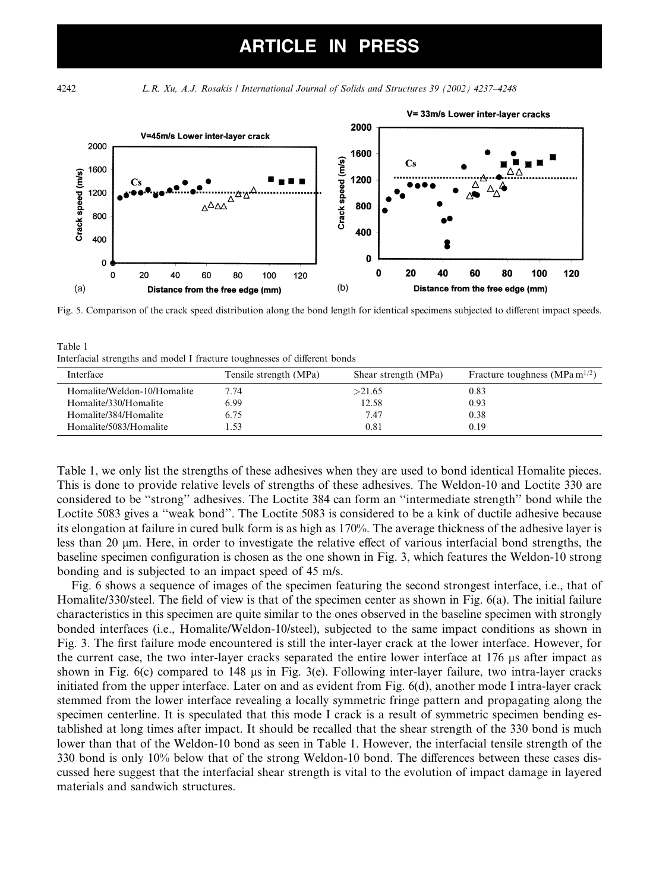4242 L.R. Xu, A.J. Rosakis / International Journal of Solids and Structures 39 (2002) 4237–4248



Fig. 5. Comparison of the crack speed distribution along the bond length for identical specimens subjected to different impact speeds.

Table 1 Interfacial strengths and model I fracture toughnesses of different bonds

| Interface                   | Tensile strength (MPa) | Shear strength (MPa) | Fracture toughness (MPa m <sup>1/2</sup> ) |
|-----------------------------|------------------------|----------------------|--------------------------------------------|
| Homalite/Weldon-10/Homalite | 7.74                   | >21.65               | 0.83                                       |
| Homalite/330/Homalite       | 6.99                   | 12.58                | 0.93                                       |
| Homalite/384/Homalite       | 6.75                   | 7.47                 | 0.38                                       |
| Homalite/5083/Homalite      | .53                    | 0.81                 | 0.19                                       |

Table 1, we only list the strengths of these adhesives when they are used to bond identical Homalite pieces. This is done to provide relative levels of strengths of these adhesives. The Weldon-10 and Loctite 330 are considered to be ''strong'' adhesives. The Loctite 384 can form an ''intermediate strength'' bond while the Loctite 5083 gives a "weak bond". The Loctite 5083 is considered to be a kink of ductile adhesive because its elongation at failure in cured bulk form is as high as 170%. The average thickness of the adhesive layer is less than 20  $\mu$ m. Here, in order to investigate the relative effect of various interfacial bond strengths, the baseline specimen configuration is chosen as the one shown in Fig. 3, which features the Weldon-10 strong bonding and is subjected to an impact speed of 45 m/s.

Fig. 6 shows a sequence of images of the specimen featuring the second strongest interface, i.e., that of Homalite/330/steel. The field of view is that of the specimen center as shown in Fig. 6(a). The initial failure characteristics in this specimen are quite similar to the ones observed in the baseline specimen with strongly bonded interfaces (i.e., Homalite/Weldon-10/steel), subjected to the same impact conditions as shown in Fig. 3. The first failure mode encountered is still the inter-layer crack at the lower interface. However, for the current case, the two inter-layer cracks separated the entire lower interface at  $176 \mu s$  after impact as shown in Fig. 6(c) compared to 148  $\mu$ s in Fig. 3(e). Following inter-layer failure, two intra-layer cracks initiated from the upper interface. Later on and as evident from Fig. 6(d), another mode I intra-layer crack stemmed from the lower interface revealing a locally symmetric fringe pattern and propagating along the specimen centerline. It is speculated that this mode I crack is a result of symmetric specimen bending established at long times after impact. It should be recalled that the shear strength of the 330 bond is much lower than that of the Weldon-10 bond as seen in Table 1. However, the interfacial tensile strength of the 330 bond is only 10% below that of the strong Weldon-10 bond. The differences between these cases discussed here suggest that the interfacial shear strength is vital to the evolution of impact damage in layered materials and sandwich structures.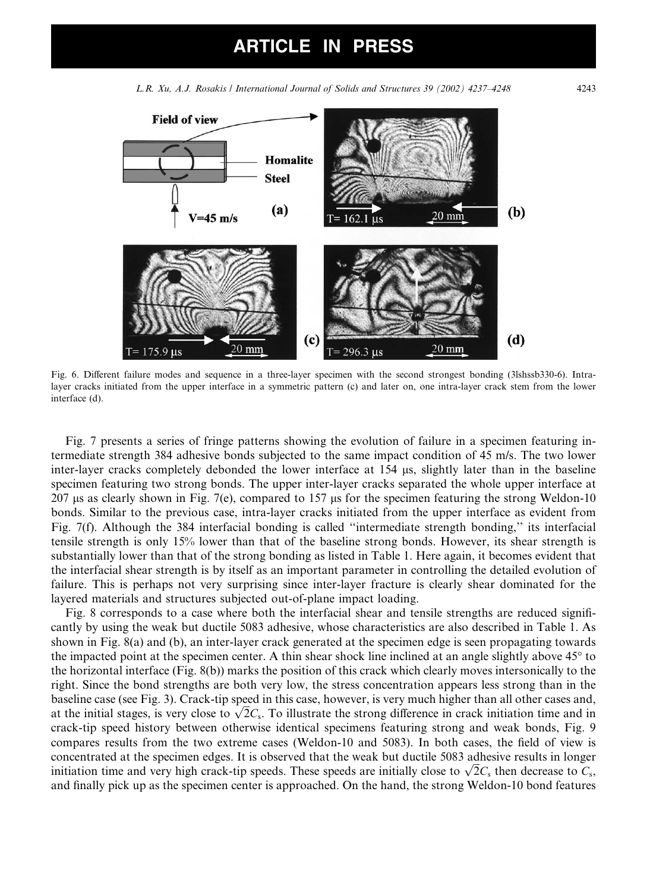

L.R. Xu, A.J. Rosakis / International Journal of Solids and Structures 39 (2002) 4237–4248 4243

Fig. 6. Different failure modes and sequence in a three-layer specimen with the second strongest bonding (3lshssb330-6). Intralayer cracks initiated from the upper interface in a symmetric pattern (c) and later on, one intra-layer crack stem from the lower interface (d).

Fig. 7 presents a series of fringe patterns showing the evolution of failure in a specimen featuring intermediate strength 384 adhesive bonds subjected to the same impact condition of 45 m/s. The two lower inter-layer cracks completely debonded the lower interface at 154 us, slightly later than in the baseline specimen featuring two strong bonds. The upper inter-layer cracks separated the whole upper interface at 207 ls as clearly shown in Fig. 7(e), compared to 157 ls for the specimen featuring the strong Weldon-10 bonds. Similar to the previous case, intra-layer cracks initiated from the upper interface as evident from Fig. 7(f). Although the 384 interfacial bonding is called ''intermediate strength bonding,'' its interfacial tensile strength is only 15% lower than that of the baseline strong bonds. However, its shear strength is substantially lower than that of the strong bonding as listed in Table 1. Here again, it becomes evident that the interfacial shear strength is by itself as an important parameter in controlling the detailed evolution of failure. This is perhaps not very surprising since inter-layer fracture is clearly shear dominated for the layered materials and structures subjected out-of-plane impact loading.

Fig. 8 corresponds to a case where both the interfacial shear and tensile strengths are reduced significantly by using the weak but ductile 5083 adhesive, whose characteristics are also described in Table 1. As shown in Fig. 8(a) and (b), an inter-layer crack generated at the specimen edge is seen propagating towards the impacted point at the specimen center. A thin shear shock line inclined at an angle slightly above  $45^{\circ}$  to the horizontal interface (Fig. 8(b)) marks the position of this crack which clearly moves intersonically to the right. Since the bond strengths are both very low, the stress concentration appears less strong than in the baseline case (see Fig. 3). Crack-tip speed in this case, however, is very much higher than all other cases and, baseline case (see Fig. 3). Crack-up speed in this case, nowever, is very much higher than all other cases and, at the initial stages, is very close to  $\sqrt{2}C_s$ . To illustrate the strong difference in crack initiation ti crack-tip speed history between otherwise identical specimens featuring strong and weak bonds, Fig. 9 compares results from the two extreme cases (Weldon-10 and 5083). In both cases, the field of view is concentrated at the specimen edges. It is observed that the weak but ductile 5083 adhesive results in longer concentrated at the specimen edges. It is observed that the weak but ductile 5085 adnesive results in longer initiation time and very high crack-tip speeds. These speeds are initially close to  $\sqrt{2}C_s$  then decrease to and finally pick up as the specimen center is approached. On the hand, the strong Weldon-10 bond features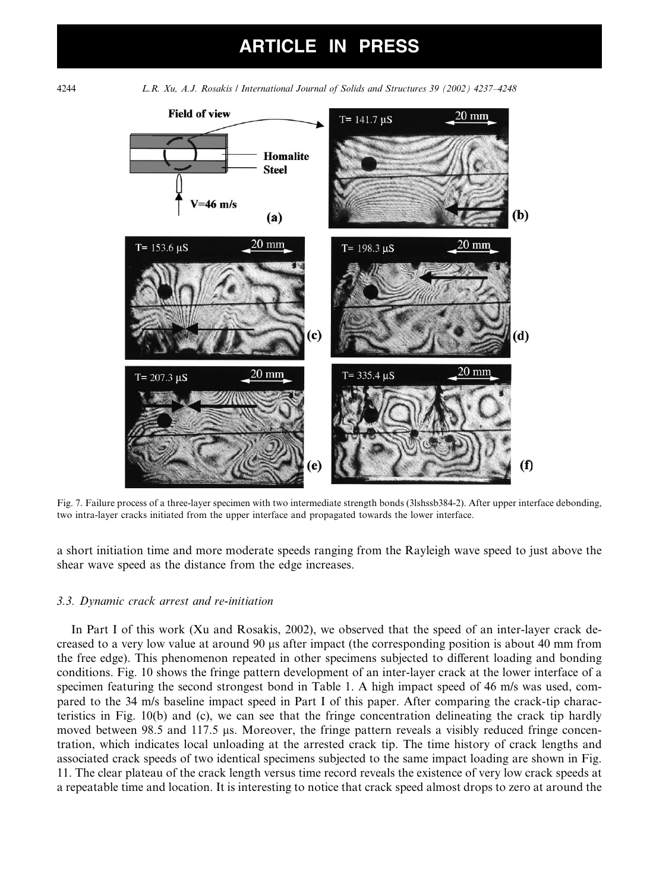

Fig. 7. Failure process of a three-layer specimen with two intermediate strength bonds (3lshssb384-2). After upper interface debonding, two intra-layer cracks initiated from the upper interface and propagated towards the lower interface.

a short initiation time and more moderate speeds ranging from the Rayleigh wave speed to just above the shear wave speed as the distance from the edge increases.

### 3.3. Dynamic crack arrest and re-initiation

In Part I of this work (Xu and Rosakis, 2002), we observed that the speed of an inter-layer crack decreased to a very low value at around 90 ls after impact (the corresponding position is about 40 mm from the free edge). This phenomenon repeated in other specimens subjected to different loading and bonding conditions. Fig. 10 shows the fringe pattern development of an inter-layer crack at the lower interface of a specimen featuring the second strongest bond in Table 1. A high impact speed of 46 m/s was used, compared to the 34 m/s baseline impact speed in Part I of this paper. After comparing the crack-tip characteristics in Fig.  $10(b)$  and (c), we can see that the fringe concentration delineating the crack tip hardly moved between  $98.5$  and  $117.5$  µs. Moreover, the fringe pattern reveals a visibly reduced fringe concentration, which indicates local unloading at the arrested crack tip. The time history of crack lengths and associated crack speeds of two identical specimens subjected to the same impact loading are shown in Fig. 11. The clear plateau of the crack length versus time record reveals the existence of very low crack speeds at a repeatable time and location. It is interesting to notice that crack speed almost drops to zero at around the

4244 L.R. Xu, A.J. Rosakis / International Journal of Solids and Structures 39 (2002) 4237–4248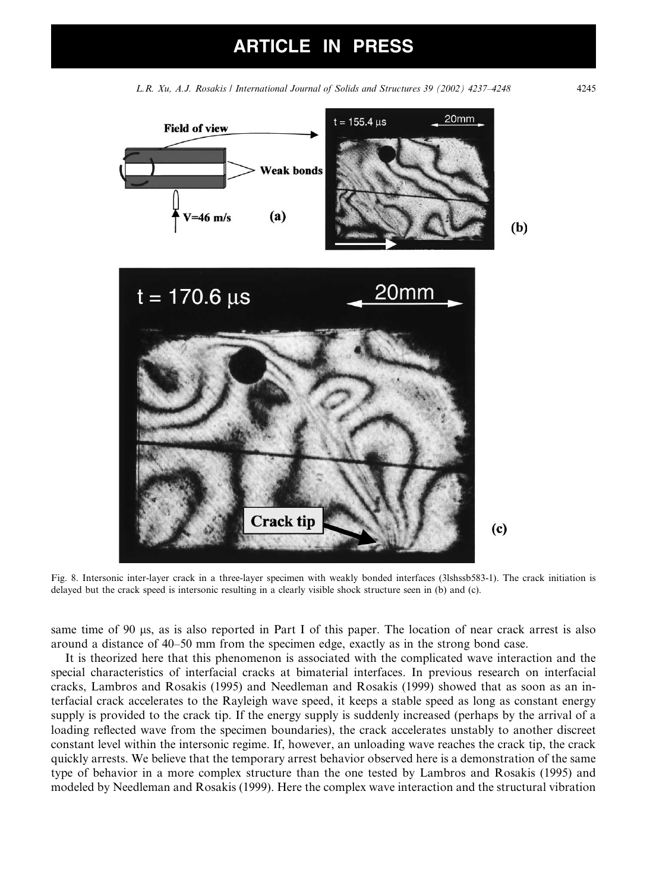L.R. Xu, A.J. Rosakis / International Journal of Solids and Structures 39 (2002) 4237–4248 4245



Fig. 8. Intersonic inter-layer crack in a three-layer specimen with weakly bonded interfaces (3lshssb583-1). The crack initiation is delayed but the crack speed is intersonic resulting in a clearly visible shock structure seen in (b) and (c).

same time of 90  $\mu$ s, as is also reported in Part I of this paper. The location of near crack arrest is also around a distance of 40–50 mm from the specimen edge, exactly as in the strong bond case.

It is theorized here that this phenomenon is associated with the complicated wave interaction and the special characteristics of interfacial cracks at bimaterial interfaces. In previous research on interfacial cracks, Lambros and Rosakis (1995) and Needleman and Rosakis (1999) showed that as soon as an interfacial crack accelerates to the Rayleigh wave speed, it keeps a stable speed as long as constant energy supply is provided to the crack tip. If the energy supply is suddenly increased (perhaps by the arrival of a loading reflected wave from the specimen boundaries), the crack accelerates unstably to another discreet constant level within the intersonic regime. If, however, an unloading wave reaches the crack tip, the crack quickly arrests. We believe that the temporary arrest behavior observed here is a demonstration of the same type of behavior in a more complex structure than the one tested by Lambros and Rosakis (1995) and modeled by Needleman and Rosakis (1999). Here the complex wave interaction and the structural vibration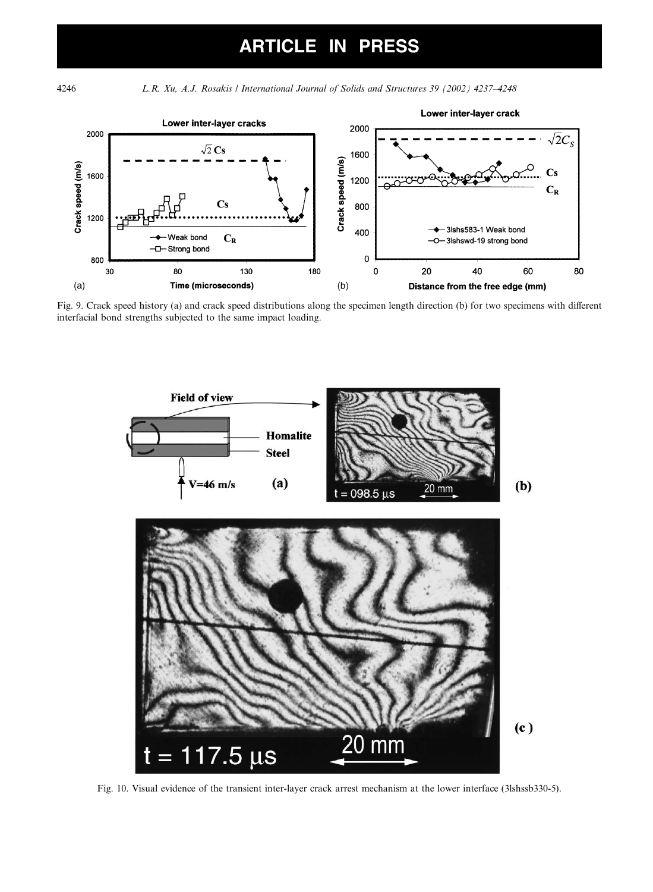4246 L.R. Xu, A.J. Rosakis / International Journal of Solids and Structures 39 (2002) 4237–4248



Fig. 9. Crack speed history (a) and crack speed distributions along the specimen length direction (b) for two specimens with different interfacial bond strengths subjected to the same impact loading.



Fig. 10. Visual evidence of the transient inter-layer crack arrest mechanism at the lower interface (3lshssb330-5).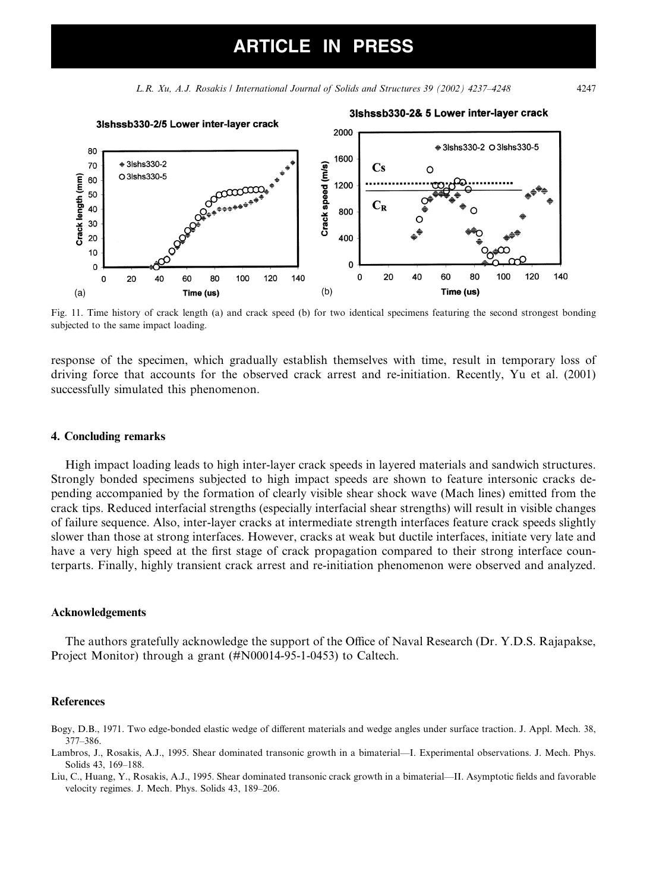L.R. Xu, A.J. Rosakis / International Journal of Solids and Structures 39 (2002) 4237–4248 4247

### 3Ishssb330-2/5 Lower inter-layer crack 2000 1600

3Ishssb330-2& 5 Lower inter-layer crack



response of the specimen, which gradually establish themselves with time, result in temporary loss of driving force that accounts for the observed crack arrest and re-initiation. Recently, Yu et al. (2001) successfully simulated this phenomenon.

### 4. Concluding remarks

High impact loading leads to high inter-layer crack speeds in layered materials and sandwich structures. Strongly bonded specimens subjected to high impact speeds are shown to feature intersonic cracks depending accompanied by the formation of clearly visible shear shockwave (Mach lines) emitted from the crack tips. Reduced interfacial strengths (especially interfacial shear strengths) will result in visible changes of failure sequence. Also, inter-layer cracks at intermediate strength interfaces feature crack speeds slightly slower than those at strong interfaces. However, cracks at weak but ductile interfaces, initiate very late and have a very high speed at the first stage of crack propagation compared to their strong interface counterparts. Finally, highly transient crack arrest and re-initiation phenomenon were observed and analyzed.

#### Acknowledgements

The authors gratefully acknowledge the support of the Office of Naval Research (Dr. Y.D.S. Rajapakse, Project Monitor) through a grant (#N00014-95-1-0453) to Caltech.

#### References

- Bogy, D.B., 1971. Two edge-bonded elastic wedge of different materials and wedge angles under surface traction. J. Appl. Mech. 38, 377–386.
- Lambros, J., Rosakis, A.J., 1995. Shear dominated transonic growth in a bimaterial––I. Experimental observations. J. Mech. Phys. Solids 43, 169–188.
- Liu, C., Huang, Y., Rosakis, A.J., 1995. Shear dominated transonic crack growth in a bimaterial––II. Asymptotic fields and favorable velocity regimes. J. Mech. Phys. Solids 43, 189–206.